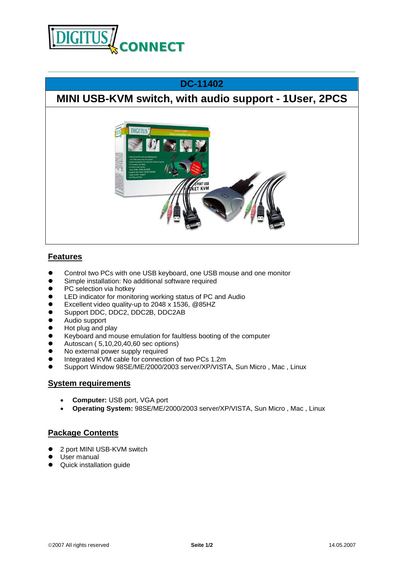

## **DC-11402**

# **MINI USB-KVM switch, with audio support - 1User, 2PCS**



### **Features**

- **•** Control two PCs with one USB keyboard, one USB mouse and one monitor
- **•** Simple installation: No additional software required
- PC selection via hotkey
- **•** LED indicator for monitoring working status of PC and Audio
- Excellent video quality-up to 2048 x 1536, @85HZ
- Support DDC, DDC2, DDC2B, DDC2AB
- Audio support
- $\bullet$  Hot plug and play
- **e** Keyboard and mouse emulation for faultless booting of the computer
- $\bullet$  Autoscan (5,10,20,40,60 sec options)
- No external power supply required
- Integrated KVM cable for connection of two PCs 1.2m
- Support Window 98SE/ME/2000/2003 server/XP/VISTA, Sun Micro, Mac, Linux

#### **System requirements**

- · **Computer:** USB port, VGA port
- · **Operating System:** 98SE/ME/2000/2003 server/XP/VISTA, Sun Micro , Mac , Linux

#### **Package Contents**

- 2 port MINI USB-KVM switch
- **•** User manual
- Quick installation quide